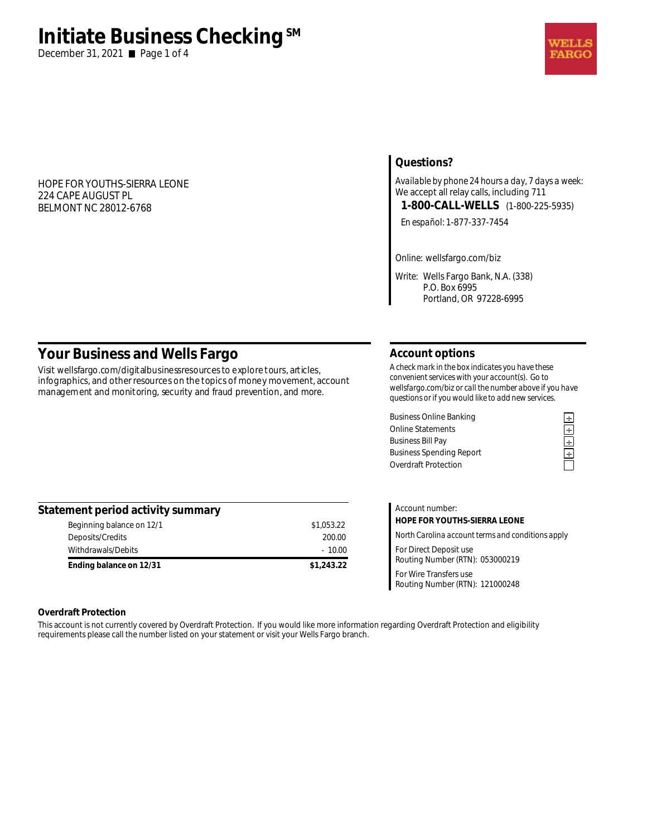# **Initiate Business Checking**<sup>SM</sup>

December 31, 2021 ■ Page 1 of 4

#### HOPE FOR YOUTHS-SIERRA LEONE 224 CAPE AUGUST PL BELMONT NC 28012-6768

## **Questions?**

*Available by phone 24 hours a day, 7 days a week:*  We accept all relay calls, including 711 **1-800-CALL-WELLS** (1-800-225-5935)

*En español:* 1-877-337-7454

*Online:* wellsfargo.com/biz

*Write:* Wells Fargo Bank, N.A. (338) P.O. Box 6995 Portland, OR 97228-6995

# **Your Business and Wells Fargo**

Visit wellsfargo.com/digitalbusinessresources to explore tours, articles, infographics, and other resources on the topics of money movement, account management and monitoring, security and fraud prevention, and more.

#### **Account options**

*A check mark in the box indicates you have these convenient services with your account(s). Go to wellsfargo.com/biz or call the number above if you have questions or if you would like to add new services.* 

Business Online Banking<br>
Online Statements<br>
Business Bill Pay<br> **Example 2018**<br>
Business Spending Report<br> **Example 2018**<br>
Overdraft Protection Online Statements **÷ Business Bill Pay Business Spending Report** Overdraft Protection

| Statement period activity summary |            |
|-----------------------------------|------------|
| Beginning balance on 12/1         | \$1,053.22 |
| Deposits/Credits                  | 200.00     |
| Withdrawals/Debits                | $-10.00$   |
| Ending balance on 12/31           | \$1,243.22 |

| Account number:                                           |
|-----------------------------------------------------------|
| HOPE FOR YOUTHS-SIERRA LEONE                              |
| North Carolina account terms and conditions apply         |
| For Direct Deposit use<br>Routing Number (RTN): 053000219 |
| For Wire Transfers use<br>Routing Number (RTN): 121000248 |

#### **Overdraft Protection**

This account is not currently covered by Overdraft Protection. If you would like more information regarding Overdraft Protection and eligibility requirements please call the number listed on your statement or visit your Wells Fargo branch.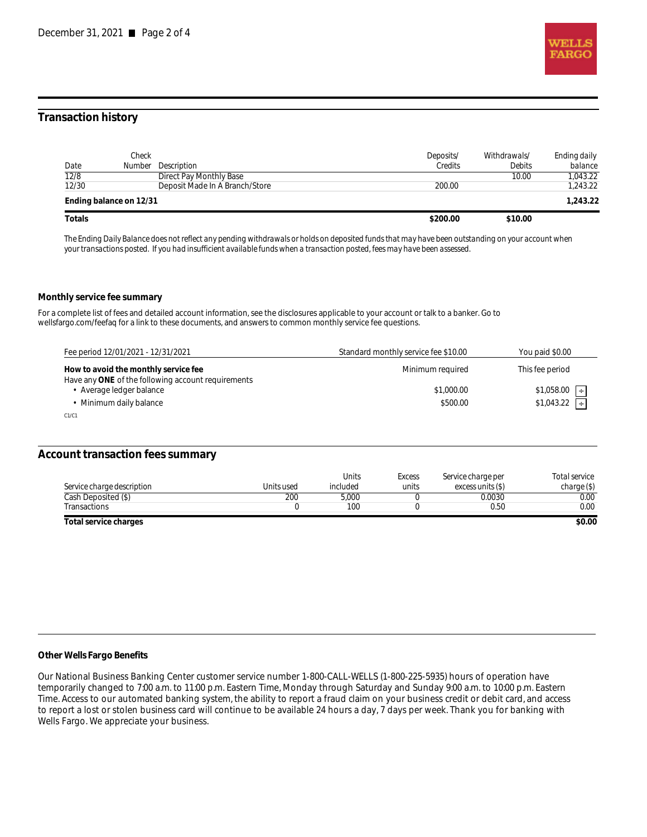

### **Transaction history**

| Date   | Check                   | <b>Number</b> Description      | Deposits/<br>Credits | Withdrawals/<br><b>Debits</b> | Ending daily<br>balance |
|--------|-------------------------|--------------------------------|----------------------|-------------------------------|-------------------------|
| 12/8   |                         | Direct Pay Monthly Base        |                      | 10.00                         | 1.043.22                |
| 12/30  |                         | Deposit Made In A Branch/Store | 200.00               |                               | 1,243.22                |
|        | Ending balance on 12/31 |                                |                      |                               | 1,243.22                |
| Totals |                         |                                | \$200.00             | \$10.00                       |                         |

*The Ending Daily Balance does not reflect any pending withdrawals or holds on deposited funds that may have been outstanding on your account when your transactions posted. If you had insufficient available funds when a transaction posted, fees may have been assessed.* 

#### **Monthly service fee summary**

For a complete list of fees and detailed account information, see the disclosures applicable to your account or talk to a banker. Go to wellsfargo.com/feefaq for a link to these documents, and answers to common monthly service fee questions.

| Fee period 12/01/2021 - 12/31/2021                 | Standard monthly service fee \$10.00 | You paid \$0.00             |
|----------------------------------------------------|--------------------------------------|-----------------------------|
| How to avoid the monthly service fee               | Minimum required                     | This fee period             |
| Have any ONE of the following account requirements |                                      |                             |
| Average ledger balance                             | \$1,000.00                           | \$1,058.00<br>$\parallel +$ |
| Minimum daily balance                              | \$500.00                             | $$1,043.22$ $\rightarrow$   |
| C1/C1                                              |                                      |                             |

#### **Account transaction fees summary**

| Service charge description | Units used | <b>Units</b><br>included | <b>Excess</b><br>units | Service charge per<br>excess units (S) | Total service<br>charge(S) |
|----------------------------|------------|--------------------------|------------------------|----------------------------------------|----------------------------|
| Cash Deposited (\$)        | 200        | 5.000                    |                        | 0.0030                                 | 0.00                       |
| Transactions               |            | 100                      |                        | 0.50                                   | 0.00                       |
| Total service charges      |            |                          |                        |                                        | \$0.00                     |

#### **Other Wells Fargo Benefits**

Our National Business Banking Center customer service number 1-800-CALL-WELLS (1-800-225-5935) hours of operation have temporarily changed to 7:00 a.m. to 11:00 p.m. Eastern Time, Monday through Saturday and Sunday 9:00 a.m. to 10:00 p.m. Eastern Time. Access to our automated banking system, the ability to report a fraud claim on your business credit or debit card, and access to report a lost or stolen business card will continue to be available 24 hours a day, 7 days per week. Thank you for banking with Wells Fargo. We appreciate your business.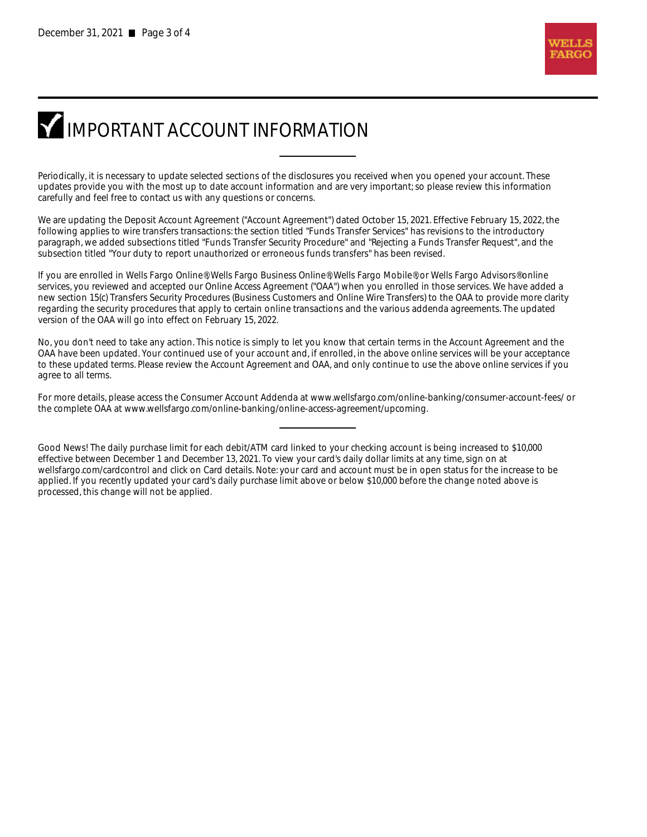# **IMPORTANT ACCOUNT INFORMATION**

Periodically, it is necessary to update selected sections of the disclosures you received when you opened your account. These updates provide you with the most up to date account information and are very important; so please review this information carefully and feel free to contact us with any questions or concerns.

We are updating the Deposit Account Agreement ("Account Agreement") dated October 15, 2021. Effective February 15, 2022, the following applies to wire transfers transactions: the section titled "Funds Transfer Services" has revisions to the introductory paragraph, we added subsections titled "Funds Transfer Security Procedure" and "Rejecting a Funds Transfer Request", and the subsection titled "Your duty to report unauthorized or erroneous funds transfers" has been revised.

If you are enrolled in Wells Fargo Online®, Wells Fargo Business Online®, Wells Fargo Mobile®, or Wells Fargo Advisors® online services, you reviewed and accepted our Online Access Agreement ("OAA") when you enrolled in those services. We have added a new section 15(c) Transfers Security Procedures (Business Customers and Online Wire Transfers) to the OAA to provide more clarity regarding the security procedures that apply to certain online transactions and the various addenda agreements. The updated version of the OAA will go into effect on February 15, 2022.

No, you don't need to take any action. This notice is simply to let you know that certain terms in the Account Agreement and the OAA have been updated. Your continued use of your account and, if enrolled, in the above online services will be your acceptance to these updated terms. Please review the Account Agreement and OAA, and only continue to use the above online services if you agree to all terms.

For more details, please access the Consumer Account Addenda at www.wellsfargo.com/online-banking/consumer-account-fees/ or the complete OAA at www.wellsfargo.com/online-banking/online-access-agreement/upcoming.

Good News! The daily purchase limit for each debit/ATM card linked to your checking account is being increased to \$10,000 effective between December 1 and December 13, 2021. To view your card's daily dollar limits at any time, sign on at wellsfargo.com/cardcontrol and click on Card details. Note: your card and account must be in open status for the increase to be applied. If you recently updated your card's daily purchase limit above or below \$10,000 before the change noted above is processed, this change will not be applied.